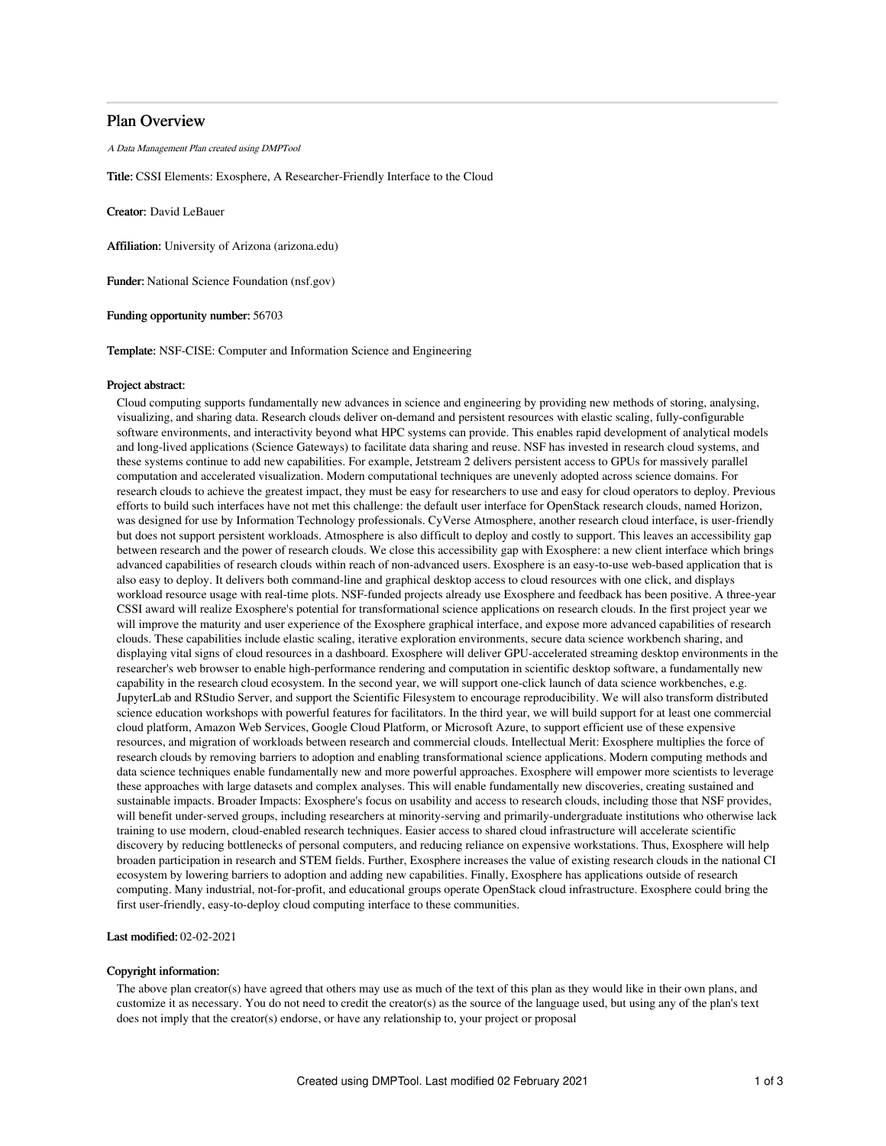# Plan Overview

A Data Management Plan created using DMPTool

Title: CSSI Elements: Exosphere, A Researcher-Friendly Interface to the Cloud

Creator: David LeBauer

Affiliation: University of Arizona (arizona.edu)

Funder: National Science Foundation (nsf.gov)

Funding opportunity number: 56703

Template: NSF-CISE: Computer and Information Science and Engineering

## Project abstract:

Cloud computing supports fundamentally new advances in science and engineering by providing new methods of storing, analysing, visualizing, and sharing data. Research clouds deliver on-demand and persistent resources with elastic scaling, fully-configurable software environments, and interactivity beyond what HPC systems can provide. This enables rapid development of analytical models and long-lived applications (Science Gateways) to facilitate data sharing and reuse. NSF has invested in research cloud systems, and these systems continue to add new capabilities. For example, Jetstream 2 delivers persistent access to GPUs for massively parallel computation and accelerated visualization. Modern computational techniques are unevenly adopted across science domains. For research clouds to achieve the greatest impact, they must be easy for researchers to use and easy for cloud operators to deploy. Previous efforts to build such interfaces have not met this challenge: the default user interface for OpenStack research clouds, named Horizon, was designed for use by Information Technology professionals. CyVerse Atmosphere, another research cloud interface, is user-friendly but does not support persistent workloads. Atmosphere is also difficult to deploy and costly to support. This leaves an accessibility gap between research and the power of research clouds. We close this accessibility gap with Exosphere: a new client interface which brings advanced capabilities of research clouds within reach of non-advanced users. Exosphere is an easy-to-use web-based application that is also easy to deploy. It delivers both command-line and graphical desktop access to cloud resources with one click, and displays workload resource usage with real-time plots. NSF-funded projects already use Exosphere and feedback has been positive. A three-year CSSI award will realize Exosphere's potential for transformational science applications on research clouds. In the first project year we will improve the maturity and user experience of the Exosphere graphical interface, and expose more advanced capabilities of research clouds. These capabilities include elastic scaling, iterative exploration environments, secure data science workbench sharing, and displaying vital signs of cloud resources in a dashboard. Exosphere will deliver GPU-accelerated streaming desktop environments in the researcher's web browser to enable high-performance rendering and computation in scientific desktop software, a fundamentally new capability in the research cloud ecosystem. In the second year, we will support one-click launch of data science workbenches, e.g. JupyterLab and RStudio Server, and support the Scientific Filesystem to encourage reproducibility. We will also transform distributed science education workshops with powerful features for facilitators. In the third year, we will build support for at least one commercial cloud platform, Amazon Web Services, Google Cloud Platform, or Microsoft Azure, to support efficient use of these expensive resources, and migration of workloads between research and commercial clouds. Intellectual Merit: Exosphere multiplies the force of research clouds by removing barriers to adoption and enabling transformational science applications. Modern computing methods and data science techniques enable fundamentally new and more powerful approaches. Exosphere will empower more scientists to leverage these approaches with large datasets and complex analyses. This will enable fundamentally new discoveries, creating sustained and sustainable impacts. Broader Impacts: Exosphere's focus on usability and access to research clouds, including those that NSF provides, will benefit under-served groups, including researchers at minority-serving and primarily-undergraduate institutions who otherwise lack training to use modern, cloud-enabled research techniques. Easier access to shared cloud infrastructure will accelerate scientific discovery by reducing bottlenecks of personal computers, and reducing reliance on expensive workstations. Thus, Exosphere will help broaden participation in research and STEM fields. Further, Exosphere increases the value of existing research clouds in the national CI ecosystem by lowering barriers to adoption and adding new capabilities. Finally, Exosphere has applications outside of research computing. Many industrial, not-for-profit, and educational groups operate OpenStack cloud infrastructure. Exosphere could bring the first user-friendly, easy-to-deploy cloud computing interface to these communities.

## Last modified: 02-02-2021

### Copyright information:

The above plan creator(s) have agreed that others may use as much of the text of this plan as they would like in their own plans, and customize it as necessary. You do not need to credit the creator(s) as the source of the language used, but using any of the plan's text does not imply that the creator(s) endorse, or have any relationship to, your project or proposal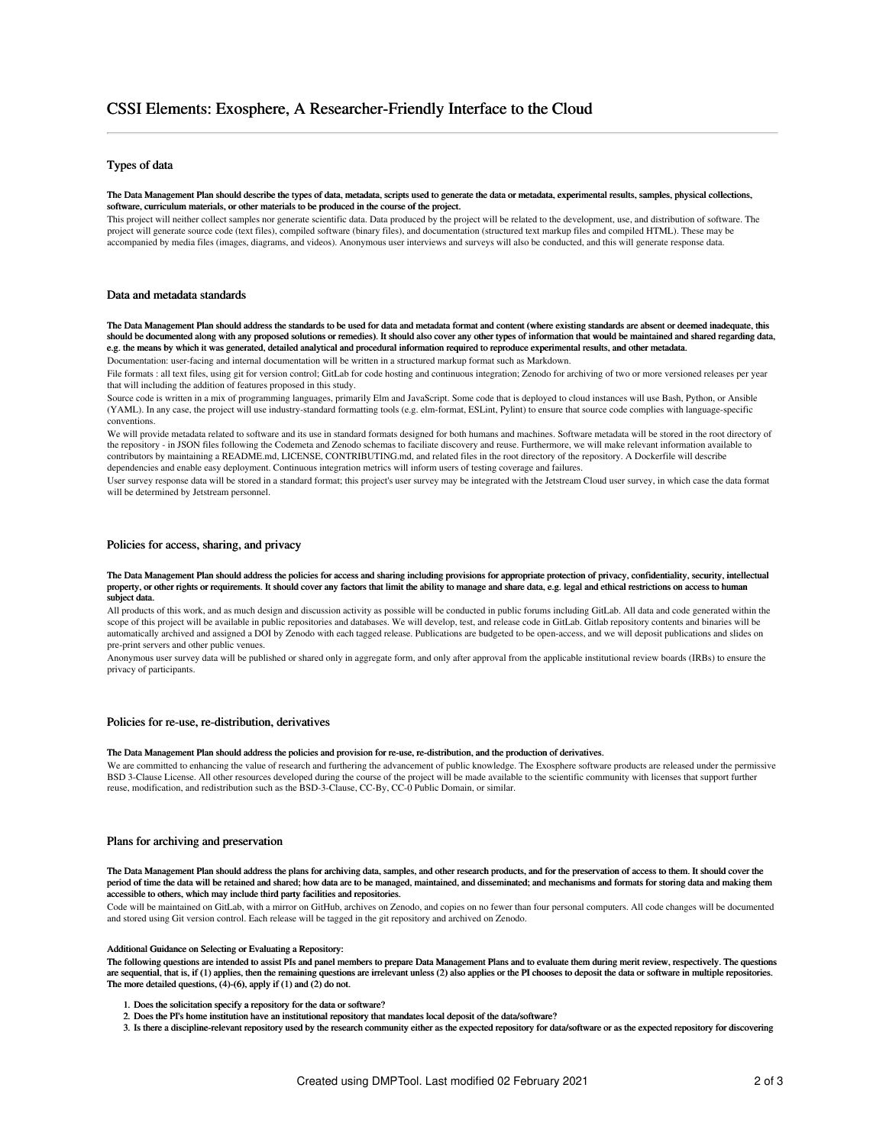# Types of data

#### The Data Management Plan should describe the types of data, metadata, scripts used to generate the data or metadata, experimental results, samples, physical collections, software, curriculum materials, or other materials to be produced in the course of the project.

This project will neither collect samples nor generate scientific data. Data produced by the project will be related to the development, use, and distribution of software. The project will generate source code (text files), compiled software (binary files), and documentation (structured text markup files and compiled HTML). These may be accompanied by media files (images, diagrams, and videos). Anonymous user interviews and surveys will also be conducted, and this will generate response data.

# Data and metadata standards

The Data Management Plan should address the standards to be used for data and metadata format and content (where existing standards are absent or deemed inadequate, this should be documented along with any proposed solutions or remedies). It should also cover any other types of information that would be maintained and shared regarding data, e.g. the means by which it was generated, detailed analytical and procedural information required to reproduce experimental results, and other metadata.

Documentation: user-facing and internal documentation will be written in a structured markup format such as Markdown.

File formats : all text files, using git for version control; GitLab for code hosting and continuous integration; Zenodo for archiving of two or more versioned releases per year that will including the addition of features proposed in this study.

Source code is written in a mix of programming languages, primarily Elm and JavaScript. Some code that is deployed to cloud instances will use Bash, Python, or Ansible (YAML). In any case, the project will use industry-standard formatting tools (e.g. elm-format, ESLint, Pylint) to ensure that source code complies with language-specific conventions.

We will provide metadata related to software and its use in standard formats designed for both humans and machines. Software metadata will be stored in the root directory of the repository - in JSON files following the Codemeta and Zenodo schemas to faciliate discovery and reuse. Furthermore, we will make relevant information available to contributors by maintaining a README.md, LICENSE, CONTRIBUTING.md, and related files in the root directory of the repository. A Dockerfile will describe dependencies and enable easy deployment. Continuous integration metrics will inform users of testing coverage and failures.

User survey response data will be stored in a standard format; this project's user survey may be integrated with the Jetstream Cloud user survey, in which case the data format will be determined by Jetstream personnel.

### Policies for access, sharing, and privacy

#### The Data Management Plan should address the policies for access and sharing including provisions for appropriate protection of privacy, confidentiality, security, intellectual property, or other rights or requirements. It should cover any factors that limit the ability to manage and share data, e.g. legal and ethical restrictions on access to human subject data.

All products of this work, and as much design and discussion activity as possible will be conducted in public forums including GitLab. All data and code generated within the scope of this project will be available in public repositories and databases. We will develop, test, and release code in GitLab. Gitlab repository contents and binaries will be automatically archived and assigned a DOI by Zenodo with each tagged release. Publications are budgeted to be open-access, and we will deposit publications and slides on pre-print servers and other public venues.

Anonymous user survey data will be published or shared only in aggregate form, and only after approval from the applicable institutional review boards (IRBs) to ensure the privacy of participants.

## Policies for re-use, re-distribution, derivatives

### The Data Management Plan should address the policies and provision for re-use, re-distribution, and the production of derivatives.

We are committed to enhancing the value of research and furthering the advancement of public knowledge. The Exosphere software products are released under the permissive BSD 3-Clause License. All other resources developed during the course of the project will be made available to the scientific community with licenses that support further reuse, modification, and redistribution such as the BSD-3-Clause, CC-By, CC-0 Public Domain, or similar.

### Plans for archiving and preservation

The Data Management Plan should address the plans for archiving data, samples, and other research products, and for the preservation of access to them. It should cover the period of time the data will be retained and shared; how data are to be managed, maintained, and disseminated; and mechanisms and formats for storing data and making them accessible to others, which may include third party facilities and repositories.

Code will be maintained on GitLab, with a mirror on GitHub, archives on Zenodo, and copies on no fewer than four personal computers. All code changes will be documented and stored using Git version control. Each release will be tagged in the git repository and archived on Zenodo.

#### Additional Guidance on Selecting or Evaluating a Repository:

The following questions are intended to assist PIs and panel members to prepare Data Management Plans and to evaluate them during merit review, respectively. The questions are sequential, that is, if (1) applies, then the remaining questions are irrelevant unless (2) also applies or the PI chooses to deposit the data or software in multiple repositories. The more detailed questions, (4)-(6), apply if (1) and (2) do not.

- 1. Does the solicitation specify a repository for the data or software?
- 2. Does the PI's home institution have an institutional repository that mandates local deposit of the data/software?
- 3. Is there a discipline-relevant repository used by the research community either as the expected repository for data/software or as the expected repository for discovering